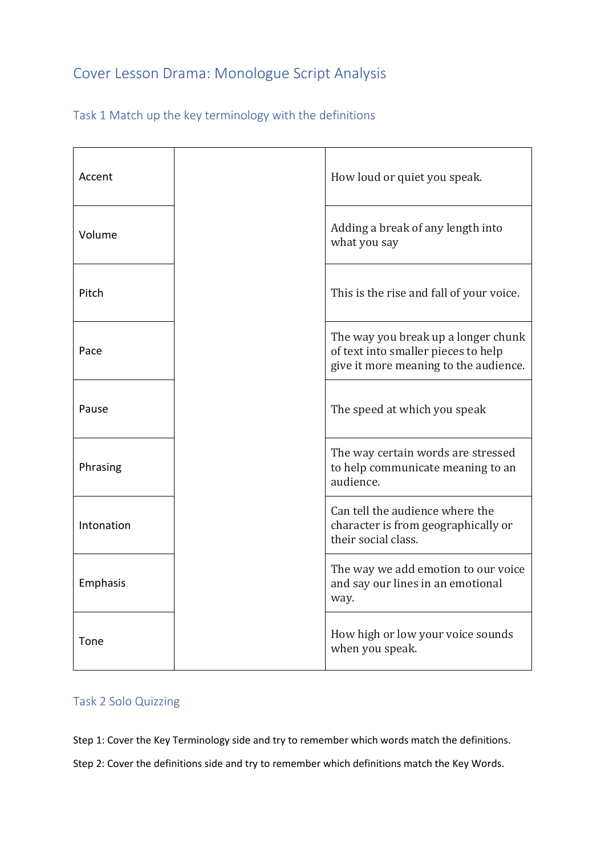# Cover Lesson Drama: Monologue Script Analysis

|  |  |  |  | Task 1 Match up the key terminology with the definitions |  |  |  |
|--|--|--|--|----------------------------------------------------------|--|--|--|
|--|--|--|--|----------------------------------------------------------|--|--|--|

| Accent     |  | How loud or quiet you speak.                                                                                        |  |  |
|------------|--|---------------------------------------------------------------------------------------------------------------------|--|--|
| Volume     |  | Adding a break of any length into<br>what you say                                                                   |  |  |
| Pitch      |  | This is the rise and fall of your voice.                                                                            |  |  |
| Pace       |  | The way you break up a longer chunk<br>of text into smaller pieces to help<br>give it more meaning to the audience. |  |  |
| Pause      |  | The speed at which you speak                                                                                        |  |  |
| Phrasing   |  | The way certain words are stressed<br>to help communicate meaning to an<br>audience.                                |  |  |
| Intonation |  | Can tell the audience where the<br>character is from geographically or<br>their social class.                       |  |  |
| Emphasis   |  | The way we add emotion to our voice<br>and say our lines in an emotional<br>way.                                    |  |  |
| Tone       |  | How high or low your voice sounds<br>when you speak.                                                                |  |  |

# Task 2 Solo Quizzing

Step 1: Cover the Key Terminology side and try to remember which words match the definitions.

Step 2: Cover the definitions side and try to remember which definitions match the Key Words.